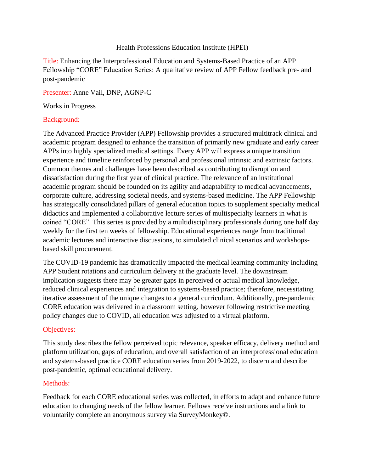#### Health Professions Education Institute (HPEI)

Title: Enhancing the Interprofessional Education and Systems-Based Practice of an APP Fellowship "CORE" Education Series: A qualitative review of APP Fellow feedback pre- and post-pandemic

Presenter: Anne Vail, DNP, AGNP-C

Works in Progress

#### Background:

The Advanced Practice Provider (APP) Fellowship provides a structured multitrack clinical and academic program designed to enhance the transition of primarily new graduate and early career APPs into highly specialized medical settings. Every APP will express a unique transition experience and timeline reinforced by personal and professional intrinsic and extrinsic factors. Common themes and challenges have been described as contributing to disruption and dissatisfaction during the first year of clinical practice. The relevance of an institutional academic program should be founded on its agility and adaptability to medical advancements, corporate culture, addressing societal needs, and systems-based medicine. The APP Fellowship has strategically consolidated pillars of general education topics to supplement specialty medical didactics and implemented a collaborative lecture series of multispecialty learners in what is coined "CORE". This series is provided by a multidisciplinary professionals during one half day weekly for the first ten weeks of fellowship. Educational experiences range from traditional academic lectures and interactive discussions, to simulated clinical scenarios and workshopsbased skill procurement.

The COVID-19 pandemic has dramatically impacted the medical learning community including APP Student rotations and curriculum delivery at the graduate level. The downstream implication suggests there may be greater gaps in perceived or actual medical knowledge, reduced clinical experiences and integration to systems-based practice; therefore, necessitating iterative assessment of the unique changes to a general curriculum. Additionally, pre-pandemic CORE education was delivered in a classroom setting, however following restrictive meeting policy changes due to COVID, all education was adjusted to a virtual platform.

# Objectives:

This study describes the fellow perceived topic relevance, speaker efficacy, delivery method and platform utilization, gaps of education, and overall satisfaction of an interprofessional education and systems-based practice CORE education series from 2019-2022, to discern and describe post-pandemic, optimal educational delivery.

# Methods:

Feedback for each CORE educational series was collected, in efforts to adapt and enhance future education to changing needs of the fellow learner. Fellows receive instructions and a link to voluntarily complete an anonymous survey via SurveyMonkey©.